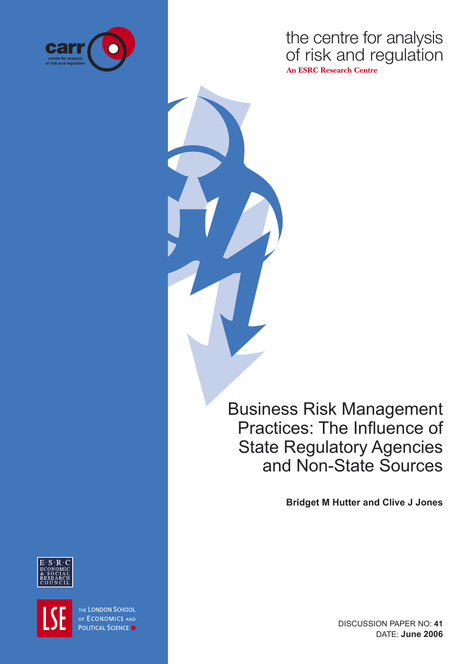

the centre for analysis of risk and regulation **An ESRC Research Centre**

Business Risk Management Practices: The Influence of State Regulatory Agencies and Non-State Sources

**Bridget M Hutter and Clive J Jones**



THE LONDON SCHOOL OF ECONOMICS AND **POLITICAL SCIENCE** 

DISCUSSION PAPER NO: **41** DATE: **June 2006**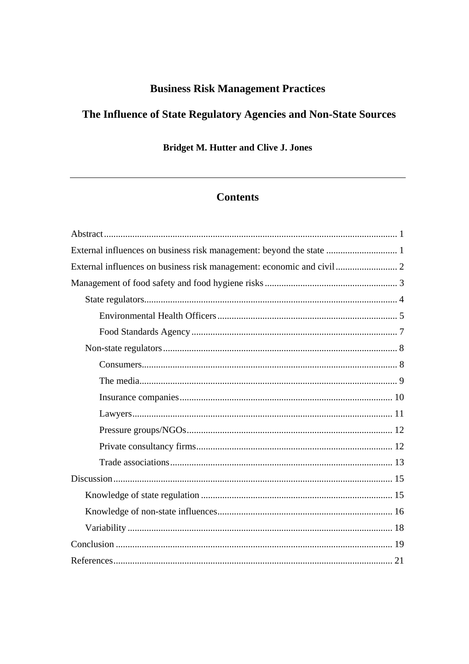## **Business Risk Management Practices**

# The Influence of State Regulatory Agencies and Non-State Sources

**Bridget M. Hutter and Clive J. Jones** 

## **Contents**

| External influences on business risk management: beyond the state  1 |
|----------------------------------------------------------------------|
|                                                                      |
|                                                                      |
|                                                                      |
|                                                                      |
|                                                                      |
|                                                                      |
|                                                                      |
|                                                                      |
|                                                                      |
|                                                                      |
|                                                                      |
|                                                                      |
|                                                                      |
|                                                                      |
|                                                                      |
|                                                                      |
|                                                                      |
|                                                                      |
|                                                                      |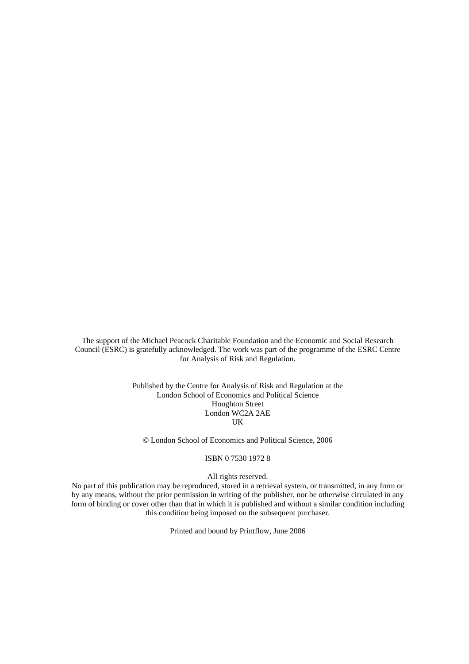The support of the Michael Peacock Charitable Foundation and the Economic and Social Research Council (ESRC) is gratefully acknowledged. The work was part of the programme of the ESRC Centre for Analysis of Risk and Regulation.

> Published by the Centre for Analysis of Risk and Regulation at the London School of Economics and Political Science Houghton Street London WC2A 2AE UK

© London School of Economics and Political Science, 2006

#### ISBN 0 7530 1972 8

#### All rights reserved.

No part of this publication may be reproduced, stored in a retrieval system, or transmitted, in any form or by any means, without the prior permission in writing of the publisher, nor be otherwise circulated in any form of binding or cover other than that in which it is published and without a similar condition including this condition being imposed on the subsequent purchaser.

Printed and bound by Printflow, June 2006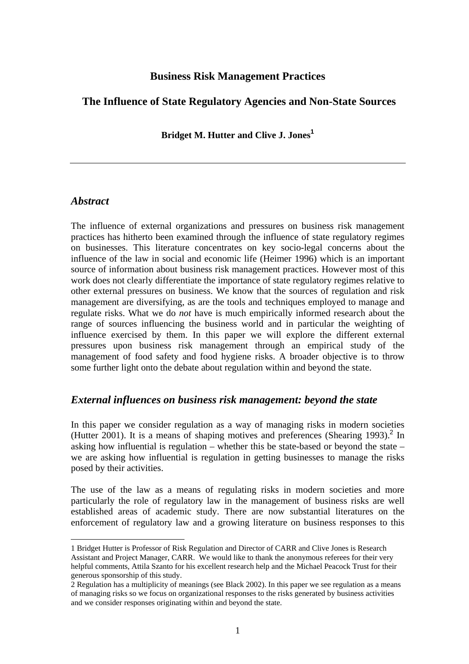## **Business Risk Management Practices**

## <span id="page-3-0"></span> **The Influence of State Regulatory Agencies and Non-State Sources**

**Bridget M. Hutter and Clive J. Jones[1](#page-3-1)**

## *Abstract*

 $\overline{a}$ 

The influence of external organizations and pressures on business risk management practices has hitherto been examined through the influence of state regulatory regimes on businesses. This literature concentrates on key socio-legal concerns about the influence of the law in social and economic life (Heimer 1996) which is an important source of information about business risk management practices. However most of this work does not clearly differentiate the importance of state regulatory regimes relative to other external pressures on business. We know that the sources of regulation and risk management are diversifying, as are the tools and techniques employed to manage and regulate risks. What we do *not* have is much empirically informed research about the range of sources influencing the business world and in particular the weighting of influence exercised by them. In this paper we will explore the different external pressures upon business risk management through an empirical study of the management of food safety and food hygiene risks. A broader objective is to throw some further light onto the debate about regulation within and beyond the state.

## *External influences on business risk management: beyond the state*

In this paper we consider regulation as a way of managing risks in modern societies (Hutter [2](#page-3-2)001). It is a means of shaping motives and preferences (Shearing 1993).<sup>2</sup> In asking how influential is regulation – whether this be state-based or beyond the state – we are asking how influential is regulation in getting businesses to manage the risks posed by their activities.

The use of the law as a means of regulating risks in modern societies and more particularly the role of regulatory law in the management of business risks are well established areas of academic study. There are now substantial literatures on the enforcement of regulatory law and a growing literature on business responses to this

<span id="page-3-1"></span><sup>1</sup> Bridget Hutter is Professor of Risk Regulation and Director of CARR and Clive Jones is Research Assistant and Project Manager, CARR. We would like to thank the anonymous referees for their very helpful comments, Attila Szanto for his excellent research help and the Michael Peacock Trust for their generous sponsorship of this study.

<span id="page-3-2"></span><sup>2</sup> Regulation has a multiplicity of meanings (see Black 2002). In this paper we see regulation as a means of managing risks so we focus on organizational responses to the risks generated by business activities and we consider responses originating within and beyond the state.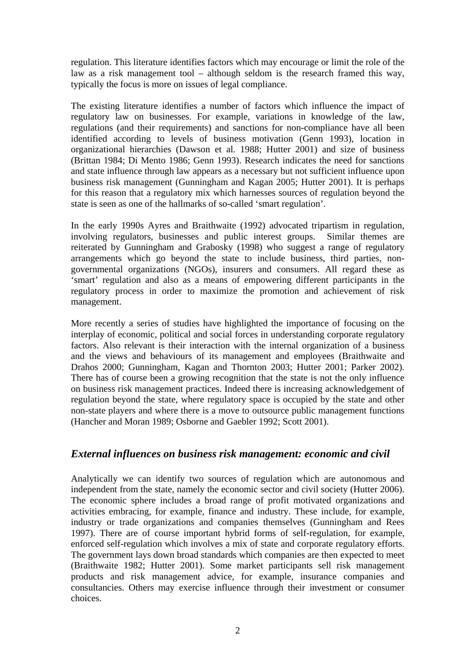<span id="page-4-0"></span>regulation. This literature identifies factors which may encourage or limit the role of the law as a risk management tool – although seldom is the research framed this way, typically the focus is more on issues of legal compliance.

The existing literature identifies a number of factors which influence the impact of regulatory law on businesses. For example, variations in knowledge of the law, regulations (and their requirements) and sanctions for non-compliance have all been identified according to levels of business motivation (Genn 1993), location in organizational hierarchies (Dawson et al. 1988; Hutter 2001) and size of business (Brittan 1984; Di Mento 1986; Genn 1993). Research indicates the need for sanctions and state influence through law appears as a necessary but not sufficient influence upon business risk management (Gunningham and Kagan 2005; Hutter 2001). It is perhaps for this reason that a regulatory mix which harnesses sources of regulation beyond the state is seen as one of the hallmarks of so-called 'smart regulation'.

In the early 1990s Ayres and Braithwaite (1992) advocated tripartism in regulation, involving regulators, businesses and public interest groups. Similar themes are reiterated by Gunningham and Grabosky (1998) who suggest a range of regulatory arrangements which go beyond the state to include business, third parties, nongovernmental organizations (NGOs), insurers and consumers. All regard these as 'smart' regulation and also as a means of empowering different participants in the regulatory process in order to maximize the promotion and achievement of risk management.

More recently a series of studies have highlighted the importance of focusing on the interplay of economic, political and social forces in understanding corporate regulatory factors. Also relevant is their interaction with the internal organization of a business and the views and behaviours of its management and employees (Braithwaite and Drahos 2000; Gunningham, Kagan and Thornton 2003; Hutter 2001; Parker 2002). There has of course been a growing recognition that the state is not the only influence on business risk management practices. Indeed there is increasing acknowledgement of regulation beyond the state, where regulatory space is occupied by the state and other non-state players and where there is a move to outsource public management functions (Hancher and Moran 1989; Osborne and Gaebler 1992; Scott 2001).

## *External influences on business risk management: economic and civil*

Analytically we can identify two sources of regulation which are autonomous and independent from the state, namely the economic sector and civil society (Hutter 2006). The economic sphere includes a broad range of profit motivated organizations and activities embracing, for example, finance and industry. These include, for example, industry or trade organizations and companies themselves (Gunningham and Rees 1997). There are of course important hybrid forms of self-regulation, for example, enforced self-regulation which involves a mix of state and corporate regulatory efforts. The government lays down broad standards which companies are then expected to meet (Braithwaite 1982; Hutter 2001). Some market participants sell risk management products and risk management advice, for example, insurance companies and consultancies. Others may exercise influence through their investment or consumer choices.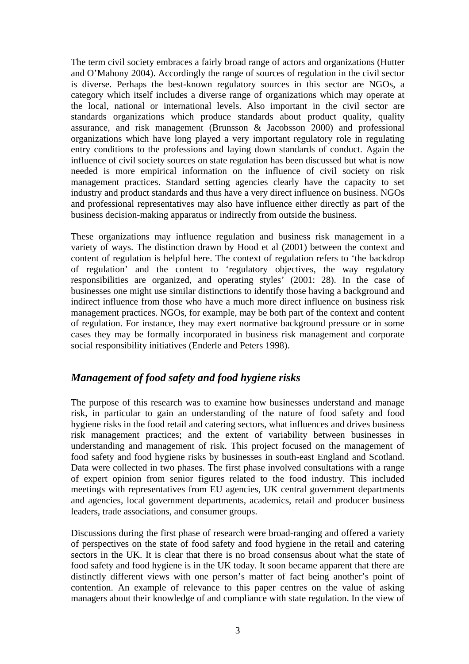<span id="page-5-0"></span>The term civil society embraces a fairly broad range of actors and organizations (Hutter and O'Mahony 2004). Accordingly the range of sources of regulation in the civil sector is diverse. Perhaps the best-known regulatory sources in this sector are NGOs, a category which itself includes a diverse range of organizations which may operate at the local, national or international levels. Also important in the civil sector are standards organizations which produce standards about product quality, quality assurance, and risk management (Brunsson & Jacobsson 2000) and professional organizations which have long played a very important regulatory role in regulating entry conditions to the professions and laying down standards of conduct. Again the influence of civil society sources on state regulation has been discussed but what is now needed is more empirical information on the influence of civil society on risk management practices. Standard setting agencies clearly have the capacity to set industry and product standards and thus have a very direct influence on business. NGOs and professional representatives may also have influence either directly as part of the business decision-making apparatus or indirectly from outside the business.

These organizations may influence regulation and business risk management in a variety of ways. The distinction drawn by Hood et al (2001) between the context and content of regulation is helpful here. The context of regulation refers to 'the backdrop of regulation' and the content to 'regulatory objectives, the way regulatory responsibilities are organized, and operating styles' (2001: 28). In the case of businesses one might use similar distinctions to identify those having a background and indirect influence from those who have a much more direct influence on business risk management practices. NGOs, for example, may be both part of the context and content of regulation. For instance, they may exert normative background pressure or in some cases they may be formally incorporated in business risk management and corporate social responsibility initiatives (Enderle and Peters 1998).

## *Management of food safety and food hygiene risks*

The purpose of this research was to examine how businesses understand and manage risk, in particular to gain an understanding of the nature of food safety and food hygiene risks in the food retail and catering sectors, what influences and drives business risk management practices; and the extent of variability between businesses in understanding and management of risk. This project focused on the management of food safety and food hygiene risks by businesses in south-east England and Scotland. Data were collected in two phases. The first phase involved consultations with a range of expert opinion from senior figures related to the food industry. This included meetings with representatives from EU agencies, UK central government departments and agencies, local government departments, academics, retail and producer business leaders, trade associations, and consumer groups.

Discussions during the first phase of research were broad-ranging and offered a variety of perspectives on the state of food safety and food hygiene in the retail and catering sectors in the UK. It is clear that there is no broad consensus about what the state of food safety and food hygiene is in the UK today. It soon became apparent that there are distinctly different views with one person's matter of fact being another's point of contention. An example of relevance to this paper centres on the value of asking managers about their knowledge of and compliance with state regulation. In the view of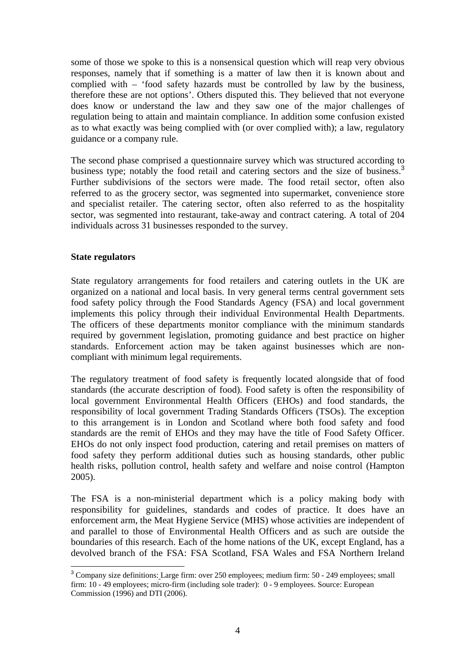<span id="page-6-0"></span>some of those we spoke to this is a nonsensical question which will reap very obvious responses, namely that if something is a matter of law then it is known about and complied with – 'food safety hazards must be controlled by law by the business, therefore these are not options'. Others disputed this. They believed that not everyone does know or understand the law and they saw one of the major challenges of regulation being to attain and maintain compliance. In addition some confusion existed as to what exactly was being complied with (or over complied with); a law, regulatory guidance or a company rule.

The second phase comprised a questionnaire survey which was structured according to business type; notably the food retail and catering sectors and the size of business.<sup>[3](#page-6-1)</sup> Further subdivisions of the sectors were made. The food retail sector, often also referred to as the grocery sector, was segmented into supermarket, convenience store and specialist retailer. The catering sector, often also referred to as the hospitality sector, was segmented into restaurant, take-away and contract catering. A total of 204 individuals across 31 businesses responded to the survey.

#### **State regulators**

State regulatory arrangements for food retailers and catering outlets in the UK are organized on a national and local basis. In very general terms central government sets food safety policy through the Food Standards Agency (FSA) and local government implements this policy through their individual Environmental Health Departments. The officers of these departments monitor compliance with the minimum standards required by government legislation, promoting guidance and best practice on higher standards. Enforcement action may be taken against businesses which are noncompliant with minimum legal requirements.

The regulatory treatment of food safety is frequently located alongside that of food standards (the accurate description of food). Food safety is often the responsibility of local government Environmental Health Officers (EHOs) and food standards, the responsibility of local government Trading Standards Officers (TSOs). The exception to this arrangement is in London and Scotland where both food safety and food standards are the remit of EHOs and they may have the title of Food Safety Officer. EHOs do not only inspect food production, catering and retail premises on matters of food safety they perform additional duties such as housing standards, other public health risks, pollution control, health safety and welfare and noise control (Hampton 2005).

The FSA is a non-ministerial department which is a policy making body with responsibility for guidelines, standards and codes of practice. It does have an enforcement arm, the Meat Hygiene Service (MHS) whose activities are independent of and parallel to those of Environmental Health Officers and as such are outside the boundaries of this research. Each of the home nations of the UK, except England, has a devolved branch of the FSA: FSA Scotland, FSA Wales and FSA Northern Ireland

<span id="page-6-1"></span><sup>&</sup>lt;sup>3</sup> Company size definitions: Large firm: over 250 employees; medium firm: 50 - 249 employees; small firm: 10 - 49 employees; micro-firm (including sole trader): 0 - 9 employees. Source: European Commission (1996) and DTI (2006).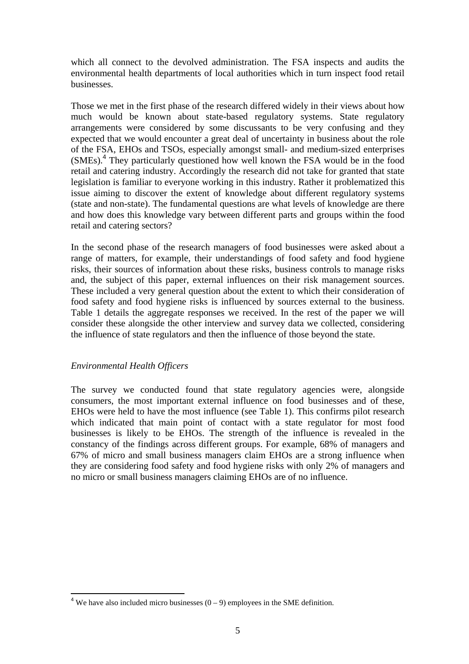<span id="page-7-0"></span>which all connect to the devolved administration. The FSA inspects and audits the environmental health departments of local authorities which in turn inspect food retail businesses.

Those we met in the first phase of the research differed widely in their views about how much would be known about state-based regulatory systems. State regulatory arrangements were considered by some discussants to be very confusing and they expected that we would encounter a great deal of uncertainty in business about the role of the FSA, EHOs and TSOs, especially amongst small- and medium-sized enterprises (SMEs).[4](#page-7-1) They particularly questioned how well known the FSA would be in the food retail and catering industry. Accordingly the research did not take for granted that state legislation is familiar to everyone working in this industry. Rather it problematized this issue aiming to discover the extent of knowledge about different regulatory systems (state and non-state). The fundamental questions are what levels of knowledge are there and how does this knowledge vary between different parts and groups within the food retail and catering sectors?

In the second phase of the research managers of food businesses were asked about a range of matters, for example, their understandings of food safety and food hygiene risks, their sources of information about these risks, business controls to manage risks and, the subject of this paper, external influences on their risk management sources. These included a very general question about the extent to which their consideration of food safety and food hygiene risks is influenced by sources external to the business. Table 1 details the aggregate responses we received. In the rest of the paper we will consider these alongside the other interview and survey data we collected, considering the influence of state regulators and then the influence of those beyond the state.

#### *Environmental Health Officers*

 $\overline{a}$ 

The survey we conducted found that state regulatory agencies were, alongside consumers, the most important external influence on food businesses and of these, EHOs were held to have the most influence (see Table 1). This confirms pilot research which indicated that main point of contact with a state regulator for most food businesses is likely to be EHOs. The strength of the influence is revealed in the constancy of the findings across different groups. For example, 68% of managers and 67% of micro and small business managers claim EHOs are a strong influence when they are considering food safety and food hygiene risks with only 2% of managers and no micro or small business managers claiming EHOs are of no influence.

<span id="page-7-1"></span><sup>&</sup>lt;sup>4</sup> We have also included micro businesses  $(0 - 9)$  employees in the SME definition.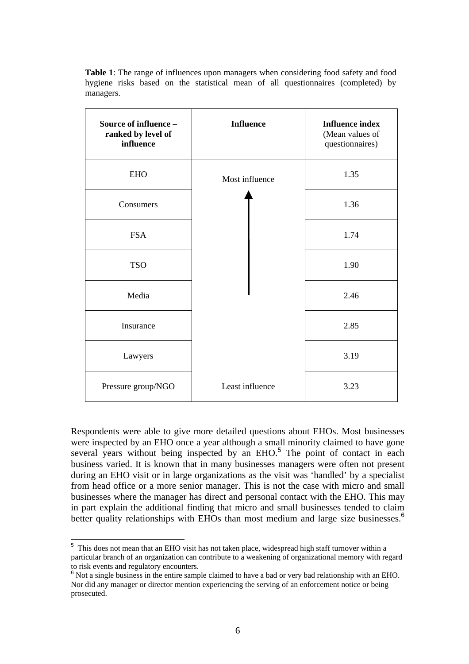**Table 1**: The range of influences upon managers when considering food safety and food hygiene risks based on the statistical mean of all questionnaires (completed) by managers.

| Source of influence -<br>ranked by level of<br>influence | <b>Influence</b> | <b>Influence index</b><br>(Mean values of<br>questionnaires) |
|----------------------------------------------------------|------------------|--------------------------------------------------------------|
| <b>EHO</b>                                               | Most influence   | 1.35                                                         |
| Consumers                                                |                  | 1.36                                                         |
| <b>FSA</b>                                               |                  | 1.74                                                         |
| <b>TSO</b>                                               |                  | 1.90                                                         |
| Media                                                    |                  | 2.46                                                         |
| Insurance                                                |                  | 2.85                                                         |
| Lawyers                                                  |                  | 3.19                                                         |
| Pressure group/NGO                                       | Least influence  | 3.23                                                         |

Respondents were able to give more detailed questions about EHOs. Most businesses were inspected by an EHO once a year although a small minority claimed to have gone several years without being inspected by an  $EHO$ <sup>[5](#page-8-0)</sup>. The point of contact in each business varied. It is known that in many businesses managers were often not present during an EHO visit or in large organizations as the visit was 'handled' by a specialist from head office or a more senior manager. This is not the case with micro and small businesses where the manager has direct and personal contact with the EHO. This may in part explain the additional finding that micro and small businesses tended to claim better quality relationships with EHOs than most medium and large size businesses.<sup>[6](#page-8-1)</sup>

 $\overline{a}$ 

<span id="page-8-0"></span><sup>&</sup>lt;sup>5</sup> This does not mean that an EHO visit has not taken place, widespread high staff turnover within a particular branch of an organization can contribute to a weakening of organizational memory with regard to risk events and regulatory encounters.

<span id="page-8-1"></span> $6$  Not a single business in the entire sample claimed to have a bad or very bad relationship with an EHO. Nor did any manager or director mention experiencing the serving of an enforcement notice or being prosecuted.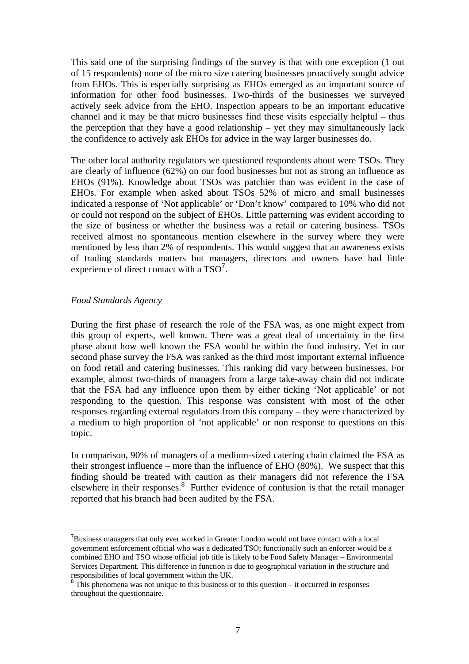<span id="page-9-0"></span>This said one of the surprising findings of the survey is that with one exception (1 out of 15 respondents) none of the micro size catering businesses proactively sought advice from EHOs. This is especially surprising as EHOs emerged as an important source of information for other food businesses. Two-thirds of the businesses we surveyed actively seek advice from the EHO. Inspection appears to be an important educative channel and it may be that micro businesses find these visits especially helpful – thus the perception that they have a good relationship – yet they may simultaneously lack the confidence to actively ask EHOs for advice in the way larger businesses do.

The other local authority regulators we questioned respondents about were TSOs. They are clearly of influence (62%) on our food businesses but not as strong an influence as EHOs (91%). Knowledge about TSOs was patchier than was evident in the case of EHOs. For example when asked about TSOs 52% of micro and small businesses indicated a response of 'Not applicable' or 'Don't know' compared to 10% who did not or could not respond on the subject of EHOs. Little patterning was evident according to the size of business or whether the business was a retail or catering business. TSOs received almost no spontaneous mention elsewhere in the survey where they were mentioned by less than 2% of respondents. This would suggest that an awareness exists of trading standards matters but managers, directors and owners have had little experience of direct contact with a  $TSO<sup>7</sup>$  $TSO<sup>7</sup>$  $TSO<sup>7</sup>$ .

#### *Food Standards Agency*

 $\overline{a}$ 

During the first phase of research the role of the FSA was, as one might expect from this group of experts, well known. There was a great deal of uncertainty in the first phase about how well known the FSA would be within the food industry. Yet in our second phase survey the FSA was ranked as the third most important external influence on food retail and catering businesses. This ranking did vary between businesses. For example, almost two-thirds of managers from a large take-away chain did not indicate that the FSA had any influence upon them by either ticking 'Not applicable' or not responding to the question. This response was consistent with most of the other responses regarding external regulators from this company – they were characterized by a medium to high proportion of 'not applicable' or non response to questions on this topic.

In comparison, 90% of managers of a medium-sized catering chain claimed the FSA as their strongest influence – more than the influence of EHO (80%). We suspect that this finding should be treated with caution as their managers did not reference the FSA elsewhere in their responses.<sup>[8](#page-9-2)</sup> Further evidence of confusion is that the retail manager reported that his branch had been audited by the FSA.

<span id="page-9-1"></span> $7B$ usiness managers that only ever worked in Greater London would not have contact with a local government enforcement official who was a dedicated TSO; functionally such an enforcer would be a combined EHO and TSO whose official job title is likely to be Food Safety Manager – Environmental Services Department. This difference in function is due to geographical variation in the structure and responsibilities of local government within the UK.<br><sup>8</sup> This phenomena was not unique to this business or to this question – it occurred in responses

<span id="page-9-2"></span>throughout the questionnaire.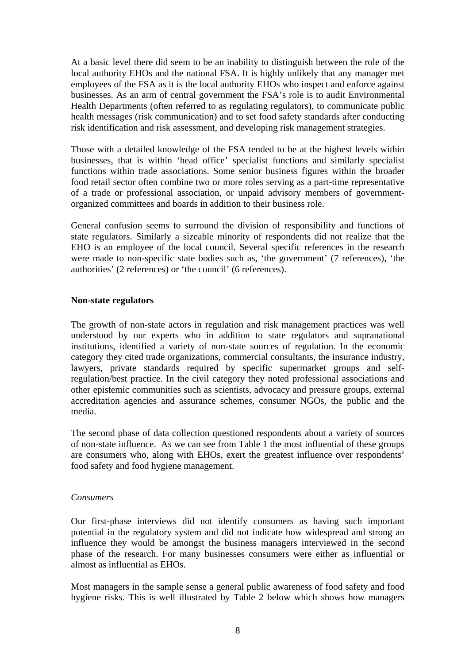<span id="page-10-0"></span>At a basic level there did seem to be an inability to distinguish between the role of the local authority EHOs and the national FSA. It is highly unlikely that any manager met employees of the FSA as it is the local authority EHOs who inspect and enforce against businesses. As an arm of central government the FSA's role is to audit Environmental Health Departments (often referred to as regulating regulators), to communicate public health messages (risk communication) and to set food safety standards after conducting risk identification and risk assessment, and developing risk management strategies.

Those with a detailed knowledge of the FSA tended to be at the highest levels within businesses, that is within 'head office' specialist functions and similarly specialist functions within trade associations. Some senior business figures within the broader food retail sector often combine two or more roles serving as a part-time representative of a trade or professional association, or unpaid advisory members of governmentorganized committees and boards in addition to their business role.

General confusion seems to surround the division of responsibility and functions of state regulators. Similarly a sizeable minority of respondents did not realize that the EHO is an employee of the local council. Several specific references in the research were made to non-specific state bodies such as, 'the government' (7 references), 'the authorities' (2 references) or 'the council' (6 references).

#### **Non-state regulators**

The growth of non-state actors in regulation and risk management practices was well understood by our experts who in addition to state regulators and supranational institutions, identified a variety of non-state sources of regulation. In the economic category they cited trade organizations, commercial consultants, the insurance industry, lawyers, private standards required by specific supermarket groups and selfregulation/best practice. In the civil category they noted professional associations and other epistemic communities such as scientists, advocacy and pressure groups, external accreditation agencies and assurance schemes, consumer NGOs, the public and the media.

The second phase of data collection questioned respondents about a variety of sources of non-state influence. As we can see from Table 1 the most influential of these groups are consumers who, along with EHOs, exert the greatest influence over respondents' food safety and food hygiene management.

#### *Consumers*

Our first-phase interviews did not identify consumers as having such important potential in the regulatory system and did not indicate how widespread and strong an influence they would be amongst the business managers interviewed in the second phase of the research. For many businesses consumers were either as influential or almost as influential as EHOs.

Most managers in the sample sense a general public awareness of food safety and food hygiene risks. This is well illustrated by Table 2 below which shows how managers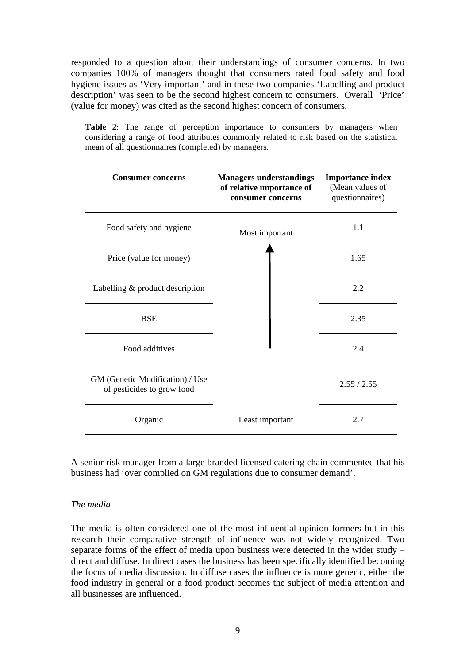<span id="page-11-0"></span>responded to a question about their understandings of consumer concerns. In two companies 100% of managers thought that consumers rated food safety and food hygiene issues as 'Very important' and in these two companies 'Labelling and product description' was seen to be the second highest concern to consumers. Overall 'Price' (value for money) was cited as the second highest concern of consumers.

**Table 2**: The range of perception importance to consumers by managers when considering a range of food attributes commonly related to risk based on the statistical mean of all questionnaires (completed) by managers.

| <b>Consumer concerns</b>                                      | <b>Managers understandings</b><br>of relative importance of<br>consumer concerns | <b>Importance index</b><br>(Mean values of<br>questionnaires) |
|---------------------------------------------------------------|----------------------------------------------------------------------------------|---------------------------------------------------------------|
| Food safety and hygiene                                       | Most important                                                                   | 1.1                                                           |
| Price (value for money)                                       |                                                                                  | 1.65                                                          |
| Labelling & product description                               |                                                                                  | 2.2                                                           |
| <b>BSE</b>                                                    |                                                                                  | 2.35                                                          |
| Food additives                                                |                                                                                  | 2.4                                                           |
| GM (Genetic Modification) / Use<br>of pesticides to grow food |                                                                                  | 2.55 / 2.55                                                   |
| Organic                                                       | Least important                                                                  | 2.7                                                           |

A senior risk manager from a large branded licensed catering chain commented that his business had 'over complied on GM regulations due to consumer demand'.

## *The media*

The media is often considered one of the most influential opinion formers but in this research their comparative strength of influence was not widely recognized. Two separate forms of the effect of media upon business were detected in the wider study – direct and diffuse. In direct cases the business has been specifically identified becoming the focus of media discussion. In diffuse cases the influence is more generic, either the food industry in general or a food product becomes the subject of media attention and all businesses are influenced.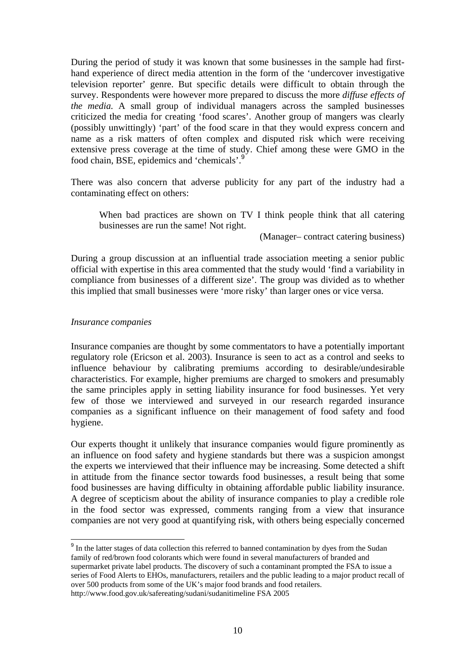<span id="page-12-0"></span>During the period of study it was known that some businesses in the sample had firsthand experience of direct media attention in the form of the 'undercover investigative television reporter' genre. But specific details were difficult to obtain through the survey. Respondents were however more prepared to discuss the more *diffuse effects of the media.* A small group of individual managers across the sampled businesses criticized the media for creating 'food scares'. Another group of mangers was clearly (possibly unwittingly) 'part' of the food scare in that they would express concern and name as a risk matters of often complex and disputed risk which were receiving extensive press coverage at the time of study. Chief among these were GMO in the food chain, BSE, epidemics and 'chemicals'.[9](#page-12-1)

There was also concern that adverse publicity for any part of the industry had a contaminating effect on others:

When bad practices are shown on TV I think people think that all catering businesses are run the same! Not right.

(Manager– contract catering business)

During a group discussion at an influential trade association meeting a senior public official with expertise in this area commented that the study would 'find a variability in compliance from businesses of a different size'. The group was divided as to whether this implied that small businesses were 'more risky' than larger ones or vice versa.

#### *Insurance companies*

 $\overline{a}$ 

Insurance companies are thought by some commentators to have a potentially important regulatory role (Ericson et al. 2003). Insurance is seen to act as a control and seeks to influence behaviour by calibrating premiums according to desirable/undesirable characteristics. For example, higher premiums are charged to smokers and presumably the same principles apply in setting liability insurance for food businesses. Yet very few of those we interviewed and surveyed in our research regarded insurance companies as a significant influence on their management of food safety and food hygiene.

Our experts thought it unlikely that insurance companies would figure prominently as an influence on food safety and hygiene standards but there was a suspicion amongst the experts we interviewed that their influence may be increasing. Some detected a shift in attitude from the finance sector towards food businesses, a result being that some food businesses are having difficulty in obtaining affordable public liability insurance. A degree of scepticism about the ability of insurance companies to play a credible role in the food sector was expressed, comments ranging from a view that insurance companies are not very good at quantifying risk, with others being especially concerned

<span id="page-12-1"></span><sup>9</sup> In the latter stages of data collection this referred to banned contamination by dyes from the Sudan family of red/brown food colorants which were found in several manufacturers of branded and supermarket private label products. The discovery of such a contaminant prompted the FSA to issue a series of Food Alerts to EHOs, manufacturers, retailers and the public leading to a major product recall of over 500 products from some of the UK's major food brands and food retailers. <http://www.food.gov.uk/safereating/sudani/sudanitimeline> FSA 2005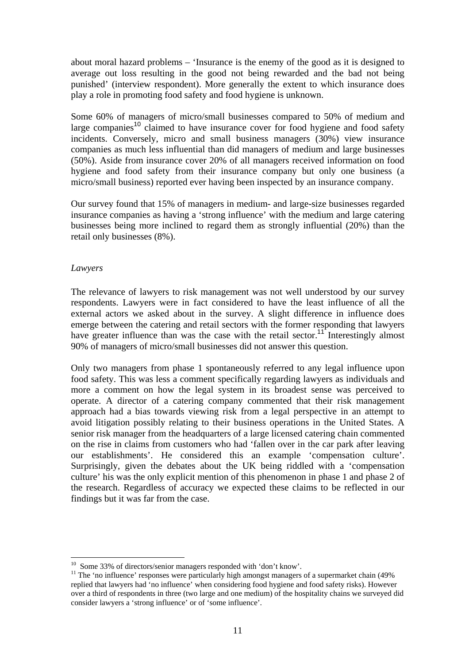<span id="page-13-0"></span>about moral hazard problems – 'Insurance is the enemy of the good as it is designed to average out loss resulting in the good not being rewarded and the bad not being punished' (interview respondent). More generally the extent to which insurance does play a role in promoting food safety and food hygiene is unknown.

Some 60% of managers of micro/small businesses compared to 50% of medium and large companies<sup>[10](#page-13-1)</sup> claimed to have insurance cover for food hygiene and food safety incidents. Conversely, micro and small business managers (30%) view insurance companies as much less influential than did managers of medium and large businesses (50%). Aside from insurance cover 20% of all managers received information on food hygiene and food safety from their insurance company but only one business (a micro/small business) reported ever having been inspected by an insurance company.

Our survey found that 15% of managers in medium- and large-size businesses regarded insurance companies as having a 'strong influence' with the medium and large catering businesses being more inclined to regard them as strongly influential (20%) than the retail only businesses (8%).

#### *Lawyers*

The relevance of lawyers to risk management was not well understood by our survey respondents. Lawyers were in fact considered to have the least influence of all the external actors we asked about in the survey. A slight difference in influence does emerge between the catering and retail sectors with the former responding that lawyers have greater influence than was the case with the retail sector.<sup>[11](#page-13-2)</sup> Interestingly almost 90% of managers of micro/small businesses did not answer this question.

Only two managers from phase 1 spontaneously referred to any legal influence upon food safety. This was less a comment specifically regarding lawyers as individuals and more a comment on how the legal system in its broadest sense was perceived to operate. A director of a catering company commented that their risk management approach had a bias towards viewing risk from a legal perspective in an attempt to avoid litigation possibly relating to their business operations in the United States. A senior risk manager from the headquarters of a large licensed catering chain commented on the rise in claims from customers who had 'fallen over in the car park after leaving our establishments'. He considered this an example 'compensation culture'. Surprisingly, given the debates about the UK being riddled with a 'compensation culture' his was the only explicit mention of this phenomenon in phase 1 and phase 2 of the research. Regardless of accuracy we expected these claims to be reflected in our findings but it was far from the case.

<span id="page-13-1"></span><sup>&</sup>lt;sup>10</sup> Some 33% of directors/senior managers responded with 'don't know'.

<span id="page-13-2"></span> $11$  The 'no influence' responses were particularly high amongst managers of a supermarket chain (49%) replied that lawyers had 'no influence' when considering food hygiene and food safety risks). However over a third of respondents in three (two large and one medium) of the hospitality chains we surveyed did consider lawyers a 'strong influence' or of 'some influence'.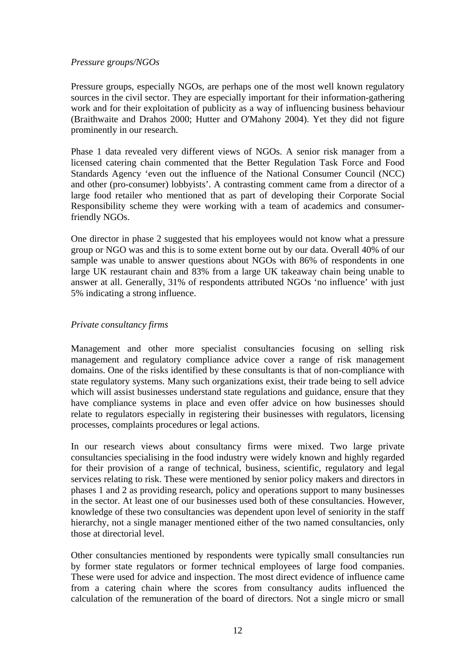#### <span id="page-14-0"></span>*Pressure* g*roups/NGOs*

Pressure groups, especially NGOs, are perhaps one of the most well known regulatory sources in the civil sector. They are especially important for their information-gathering work and for their exploitation of publicity as a way of influencing business behaviour (Braithwaite and Drahos 2000; Hutter and O'Mahony 2004). Yet they did not figure prominently in our research.

Phase 1 data revealed very different views of NGOs. A senior risk manager from a licensed catering chain commented that the Better Regulation Task Force and Food Standards Agency 'even out the influence of the National Consumer Council (NCC) and other (pro-consumer) lobbyists'. A contrasting comment came from a director of a large food retailer who mentioned that as part of developing their Corporate Social Responsibility scheme they were working with a team of academics and consumerfriendly NGOs.

One director in phase 2 suggested that his employees would not know what a pressure group or NGO was and this is to some extent borne out by our data. Overall 40% of our sample was unable to answer questions about NGOs with 86% of respondents in one large UK restaurant chain and 83% from a large UK takeaway chain being unable to answer at all. Generally, 31% of respondents attributed NGOs 'no influence' with just 5% indicating a strong influence.

### *Private consultancy firms*

Management and other more specialist consultancies focusing on selling risk management and regulatory compliance advice cover a range of risk management domains. One of the risks identified by these consultants is that of non-compliance with state regulatory systems. Many such organizations exist, their trade being to sell advice which will assist businesses understand state regulations and guidance, ensure that they have compliance systems in place and even offer advice on how businesses should relate to regulators especially in registering their businesses with regulators, licensing processes, complaints procedures or legal actions.

In our research views about consultancy firms were mixed. Two large private consultancies specialising in the food industry were widely known and highly regarded for their provision of a range of technical, business, scientific, regulatory and legal services relating to risk. These were mentioned by senior policy makers and directors in phases 1 and 2 as providing research, policy and operations support to many businesses in the sector. At least one of our businesses used both of these consultancies. However, knowledge of these two consultancies was dependent upon level of seniority in the staff hierarchy, not a single manager mentioned either of the two named consultancies, only those at directorial level.

Other consultancies mentioned by respondents were typically small consultancies run by former state regulators or former technical employees of large food companies. These were used for advice and inspection. The most direct evidence of influence came from a catering chain where the scores from consultancy audits influenced the calculation of the remuneration of the board of directors. Not a single micro or small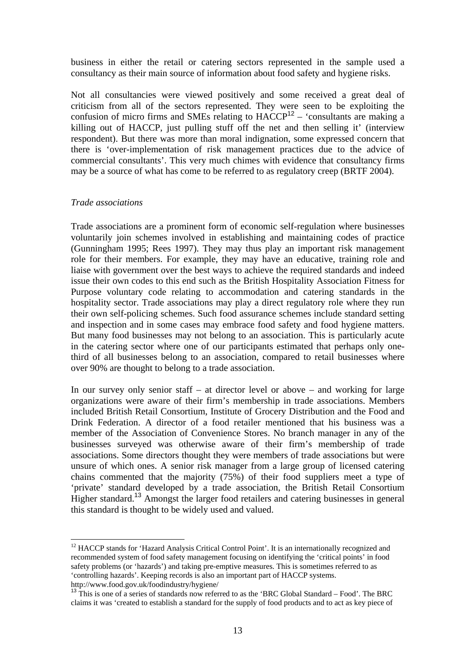<span id="page-15-0"></span>business in either the retail or catering sectors represented in the sample used a consultancy as their main source of information about food safety and hygiene risks.

Not all consultancies were viewed positively and some received a great deal of criticism from all of the sectors represented. They were seen to be exploiting the confusion of micro firms and SMEs relating to  $HACCP<sup>12</sup> HACCP<sup>12</sup> HACCP<sup>12</sup> -$  'consultants are making a killing out of HACCP, just pulling stuff off the net and then selling it' (interview respondent). But there was more than moral indignation, some expressed concern that there is 'over-implementation of risk management practices due to the advice of commercial consultants'. This very much chimes with evidence that consultancy firms may be a source of what has come to be referred to as regulatory creep (BRTF 2004).

#### *Trade associations*

 $\overline{a}$ 

Trade associations are a prominent form of economic self-regulation where businesses voluntarily join schemes involved in establishing and maintaining codes of practice (Gunningham 1995; Rees 1997). They may thus play an important risk management role for their members. For example, they may have an educative, training role and liaise with government over the best ways to achieve the required standards and indeed issue their own codes to this end such as the British Hospitality Association Fitness for Purpose voluntary code relating to accommodation and catering standards in the hospitality sector. Trade associations may play a direct regulatory role where they run their own self-policing schemes. Such food assurance schemes include standard setting and inspection and in some cases may embrace food safety and food hygiene matters. But many food businesses may not belong to an association. This is particularly acute in the catering sector where one of our participants estimated that perhaps only onethird of all businesses belong to an association, compared to retail businesses where over 90% are thought to belong to a trade association.

In our survey only senior staff – at director level or above – and working for large organizations were aware of their firm's membership in trade associations. Members included British Retail Consortium, Institute of Grocery Distribution and the Food and Drink Federation. A director of a food retailer mentioned that his business was a member of the Association of Convenience Stores. No branch manager in any of the businesses surveyed was otherwise aware of their firm's membership of trade associations. Some directors thought they were members of trade associations but were unsure of which ones. A senior risk manager from a large group of licensed catering chains commented that the majority (75%) of their food suppliers meet a type of 'private' standard developed by a trade association, the British Retail Consortium Higher standard.[13](#page-15-2) Amongst the larger food retailers and catering businesses in general this standard is thought to be widely used and valued.

<span id="page-15-1"></span><sup>12</sup> HACCP stands for 'Hazard Analysis Critical Control Point'. It is an internationally recognized and recommended system of food safety management focusing on identifying the 'critical points' in food safety problems (or 'hazards') and taking pre-emptive measures. This is sometimes referred to as 'controlling hazards'. Keeping records is also an important part of HACCP systems. http://www.food.gov.uk/foodindustry/hygiene/

<span id="page-15-2"></span><sup>&</sup>lt;sup>13</sup> This is one of a series of standards now referred to as the 'BRC Global Standard – Food'. The BRC claims it was 'created to establish a standard for the supply of food products and to act as key piece of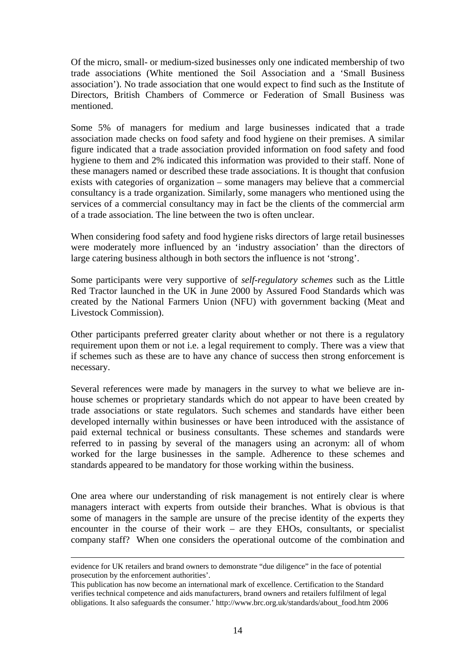Of the micro, small- or medium-sized businesses only one indicated membership of two trade associations (White mentioned the Soil Association and a 'Small Business association'). No trade association that one would expect to find such as the Institute of Directors, British Chambers of Commerce or Federation of Small Business was mentioned.

Some 5% of managers for medium and large businesses indicated that a trade association made checks on food safety and food hygiene on their premises. A similar figure indicated that a trade association provided information on food safety and food hygiene to them and 2% indicated this information was provided to their staff. None of these managers named or described these trade associations. It is thought that confusion exists with categories of organization – some managers may believe that a commercial consultancy is a trade organization. Similarly, some managers who mentioned using the services of a commercial consultancy may in fact be the clients of the commercial arm of a trade association. The line between the two is often unclear.

When considering food safety and food hygiene risks directors of large retail businesses were moderately more influenced by an 'industry association' than the directors of large catering business although in both sectors the influence is not 'strong'.

Some participants were very supportive of *self-regulatory schemes* such as the Little Red Tractor launched in the UK in June 2000 by Assured Food Standards which was created by the National Farmers Union (NFU) with government backing (Meat and Livestock Commission).

Other participants preferred greater clarity about whether or not there is a regulatory requirement upon them or not i.e. a legal requirement to comply. There was a view that if schemes such as these are to have any chance of success then strong enforcement is necessary.

Several references were made by managers in the survey to what we believe are inhouse schemes or proprietary standards which do not appear to have been created by trade associations or state regulators. Such schemes and standards have either been developed internally within businesses or have been introduced with the assistance of paid external technical or business consultants. These schemes and standards were referred to in passing by several of the managers using an acronym: all of whom worked for the large businesses in the sample. Adherence to these schemes and standards appeared to be mandatory for those working within the business.

One area where our understanding of risk management is not entirely clear is where managers interact with experts from outside their branches. What is obvious is that some of managers in the sample are unsure of the precise identity of the experts they encounter in the course of their work – are they EHOs, consultants, or specialist company staff? When one considers the operational outcome of the combination and

evidence for UK retailers and brand owners to demonstrate "due diligence" in the face of potential prosecution by the enforcement authorities'.

This publication has now become an international mark of excellence. Certification to the Standard verifies technical competence and aids manufacturers, brand owners and retailers fulfilment of legal obligations. It also safeguards the consumer.' [http://www.brc.org.uk/standards/about\\_food.htm](http://www.brc.org.uk/standards/about_food.htm) 2006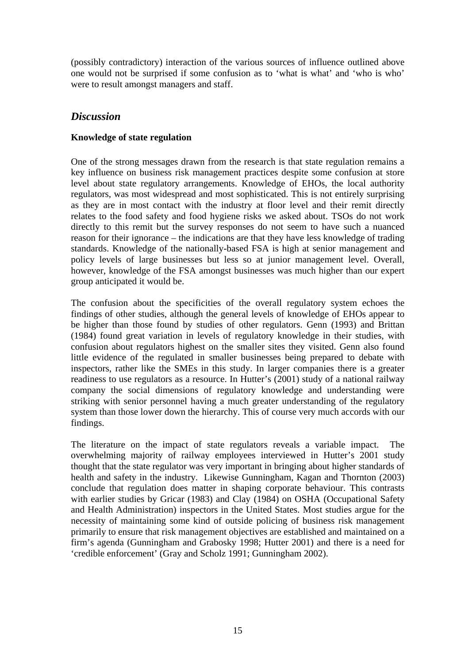<span id="page-17-0"></span>(possibly contradictory) interaction of the various sources of influence outlined above one would not be surprised if some confusion as to 'what is what' and 'who is who' were to result amongst managers and staff.

## *Discussion*

## **Knowledge of state regulation**

One of the strong messages drawn from the research is that state regulation remains a key influence on business risk management practices despite some confusion at store level about state regulatory arrangements. Knowledge of EHOs, the local authority regulators, was most widespread and most sophisticated. This is not entirely surprising as they are in most contact with the industry at floor level and their remit directly relates to the food safety and food hygiene risks we asked about. TSOs do not work directly to this remit but the survey responses do not seem to have such a nuanced reason for their ignorance – the indications are that they have less knowledge of trading standards. Knowledge of the nationally-based FSA is high at senior management and policy levels of large businesses but less so at junior management level. Overall, however, knowledge of the FSA amongst businesses was much higher than our expert group anticipated it would be.

The confusion about the specificities of the overall regulatory system echoes the findings of other studies, although the general levels of knowledge of EHOs appear to be higher than those found by studies of other regulators. Genn (1993) and Brittan (1984) found great variation in levels of regulatory knowledge in their studies, with confusion about regulators highest on the smaller sites they visited. Genn also found little evidence of the regulated in smaller businesses being prepared to debate with inspectors, rather like the SMEs in this study. In larger companies there is a greater readiness to use regulators as a resource. In Hutter's (2001) study of a national railway company the social dimensions of regulatory knowledge and understanding were striking with senior personnel having a much greater understanding of the regulatory system than those lower down the hierarchy. This of course very much accords with our findings.

The literature on the impact of state regulators reveals a variable impact. The overwhelming majority of railway employees interviewed in Hutter's 2001 study thought that the state regulator was very important in bringing about higher standards of health and safety in the industry. Likewise Gunningham, Kagan and Thornton (2003) conclude that regulation does matter in shaping corporate behaviour. This contrasts with earlier studies by Gricar (1983) and Clay (1984) on OSHA (Occupational Safety and Health Administration) inspectors in the United States. Most studies argue for the necessity of maintaining some kind of outside policing of business risk management primarily to ensure that risk management objectives are established and maintained on a firm's agenda (Gunningham and Grabosky 1998; Hutter 2001) and there is a need for 'credible enforcement' (Gray and Scholz 1991; Gunningham 2002).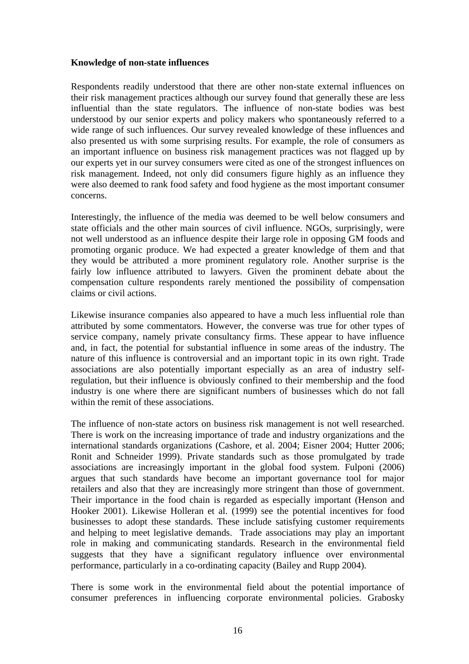#### <span id="page-18-0"></span>**Knowledge of non-state influences**

Respondents readily understood that there are other non-state external influences on their risk management practices although our survey found that generally these are less influential than the state regulators. The influence of non-state bodies was best understood by our senior experts and policy makers who spontaneously referred to a wide range of such influences. Our survey revealed knowledge of these influences and also presented us with some surprising results. For example, the role of consumers as an important influence on business risk management practices was not flagged up by our experts yet in our survey consumers were cited as one of the strongest influences on risk management. Indeed, not only did consumers figure highly as an influence they were also deemed to rank food safety and food hygiene as the most important consumer concerns.

Interestingly, the influence of the media was deemed to be well below consumers and state officials and the other main sources of civil influence. NGOs, surprisingly, were not well understood as an influence despite their large role in opposing GM foods and promoting organic produce. We had expected a greater knowledge of them and that they would be attributed a more prominent regulatory role. Another surprise is the fairly low influence attributed to lawyers. Given the prominent debate about the compensation culture respondents rarely mentioned the possibility of compensation claims or civil actions.

Likewise insurance companies also appeared to have a much less influential role than attributed by some commentators. However, the converse was true for other types of service company, namely private consultancy firms. These appear to have influence and, in fact, the potential for substantial influence in some areas of the industry. The nature of this influence is controversial and an important topic in its own right. Trade associations are also potentially important especially as an area of industry selfregulation, but their influence is obviously confined to their membership and the food industry is one where there are significant numbers of businesses which do not fall within the remit of these associations.

The influence of non-state actors on business risk management is not well researched. There is work on the increasing importance of trade and industry organizations and the international standards organizations (Cashore, et al. 2004; Eisner 2004; Hutter 2006; Ronit and Schneider 1999). Private standards such as those promulgated by trade associations are increasingly important in the global food system. Fulponi (2006) argues that such standards have become an important governance tool for major retailers and also that they are increasingly more stringent than those of government. Their importance in the food chain is regarded as especially important (Henson and Hooker 2001). Likewise Holleran et al. (1999) see the potential incentives for food businesses to adopt these standards. These include satisfying customer requirements and helping to meet legislative demands. Trade associations may play an important role in making and communicating standards. Research in the environmental field suggests that they have a significant regulatory influence over environmental performance, particularly in a co-ordinating capacity (Bailey and Rupp 2004).

There is some work in the environmental field about the potential importance of consumer preferences in influencing corporate environmental policies. Grabosky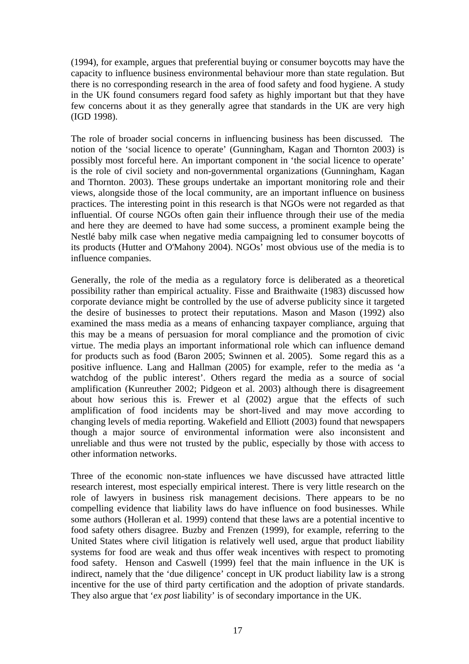(1994), for example, argues that preferential buying or consumer boycotts may have the capacity to influence business environmental behaviour more than state regulation. But there is no corresponding research in the area of food safety and food hygiene. A study in the UK found consumers regard food safety as highly important but that they have few concerns about it as they generally agree that standards in the UK are very high (IGD 1998).

The role of broader social concerns in influencing business has been discussed. The notion of the 'social licence to operate' (Gunningham, Kagan and Thornton 2003) is possibly most forceful here. An important component in 'the social licence to operate' is the role of civil society and non-governmental organizations (Gunningham, Kagan and Thornton. 2003). These groups undertake an important monitoring role and their views, alongside those of the local community, are an important influence on business practices. The interesting point in this research is that NGOs were not regarded as that influential. Of course NGOs often gain their influence through their use of the media and here they are deemed to have had some success, a prominent example being the Nestlé baby milk case when negative media campaigning led to consumer boycotts of its products (Hutter and O'Mahony 2004). NGOs' most obvious use of the media is to influence companies.

Generally, the role of the media as a regulatory force is deliberated as a theoretical possibility rather than empirical actuality. Fisse and Braithwaite (1983) discussed how corporate deviance might be controlled by the use of adverse publicity since it targeted the desire of businesses to protect their reputations. Mason and Mason (1992) also examined the mass media as a means of enhancing taxpayer compliance, arguing that this may be a means of persuasion for moral compliance and the promotion of civic virtue. The media plays an important informational role which can influence demand for products such as food (Baron 2005; Swinnen et al. 2005). Some regard this as a positive influence. Lang and Hallman (2005) for example, refer to the media as 'a watchdog of the public interest'. Others regard the media as a source of social amplification (Kunreuther 2002; Pidgeon et al. 2003) although there is disagreement about how serious this is. Frewer et al (2002) argue that the effects of such amplification of food incidents may be short-lived and may move according to changing levels of media reporting. Wakefield and Elliott (2003) found that newspapers though a major source of environmental information were also inconsistent and unreliable and thus were not trusted by the public, especially by those with access to other information networks.

Three of the economic non-state influences we have discussed have attracted little research interest, most especially empirical interest. There is very little research on the role of lawyers in business risk management decisions. There appears to be no compelling evidence that liability laws do have influence on food businesses. While some authors (Holleran et al. 1999) contend that these laws are a potential incentive to food safety others disagree. Buzby and Frenzen (1999), for example, referring to the United States where civil litigation is relatively well used, argue that product liability systems for food are weak and thus offer weak incentives with respect to promoting food safety. Henson and Caswell (1999) feel that the main influence in the UK is indirect, namely that the 'due diligence' concept in UK product liability law is a strong incentive for the use of third party certification and the adoption of private standards. They also argue that '*ex post* liability' is of secondary importance in the UK.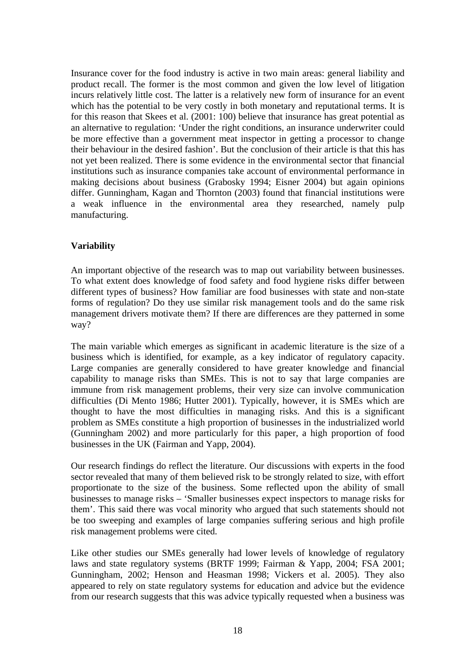<span id="page-20-0"></span>Insurance cover for the food industry is active in two main areas: general liability and product recall. The former is the most common and given the low level of litigation incurs relatively little cost. The latter is a relatively new form of insurance for an event which has the potential to be very costly in both monetary and reputational terms. It is for this reason that Skees et al. (2001: 100) believe that insurance has great potential as an alternative to regulation: 'Under the right conditions, an insurance underwriter could be more effective than a government meat inspector in getting a processor to change their behaviour in the desired fashion'. But the conclusion of their article is that this has not yet been realized. There is some evidence in the environmental sector that financial institutions such as insurance companies take account of environmental performance in making decisions about business (Grabosky 1994; Eisner 2004) but again opinions differ. Gunningham, Kagan and Thornton (2003) found that financial institutions were a weak influence in the environmental area they researched, namely pulp manufacturing.

## **Variability**

An important objective of the research was to map out variability between businesses. To what extent does knowledge of food safety and food hygiene risks differ between different types of business? How familiar are food businesses with state and non-state forms of regulation? Do they use similar risk management tools and do the same risk management drivers motivate them? If there are differences are they patterned in some way?

The main variable which emerges as significant in academic literature is the size of a business which is identified, for example, as a key indicator of regulatory capacity. Large companies are generally considered to have greater knowledge and financial capability to manage risks than SMEs. This is not to say that large companies are immune from risk management problems, their very size can involve communication difficulties (Di Mento 1986; Hutter 2001). Typically, however, it is SMEs which are thought to have the most difficulties in managing risks. And this is a significant problem as SMEs constitute a high proportion of businesses in the industrialized world (Gunningham 2002) and more particularly for this paper, a high proportion of food businesses in the UK (Fairman and Yapp, 2004).

Our research findings do reflect the literature. Our discussions with experts in the food sector revealed that many of them believed risk to be strongly related to size, with effort proportionate to the size of the business. Some reflected upon the ability of small businesses to manage risks – 'Smaller businesses expect inspectors to manage risks for them'. This said there was vocal minority who argued that such statements should not be too sweeping and examples of large companies suffering serious and high profile risk management problems were cited.

Like other studies our SMEs generally had lower levels of knowledge of regulatory laws and state regulatory systems (BRTF 1999; Fairman & Yapp, 2004; FSA 2001; Gunningham, 2002; Henson and Heasman 1998; Vickers et al. 2005). They also appeared to rely on state regulatory systems for education and advice but the evidence from our research suggests that this was advice typically requested when a business was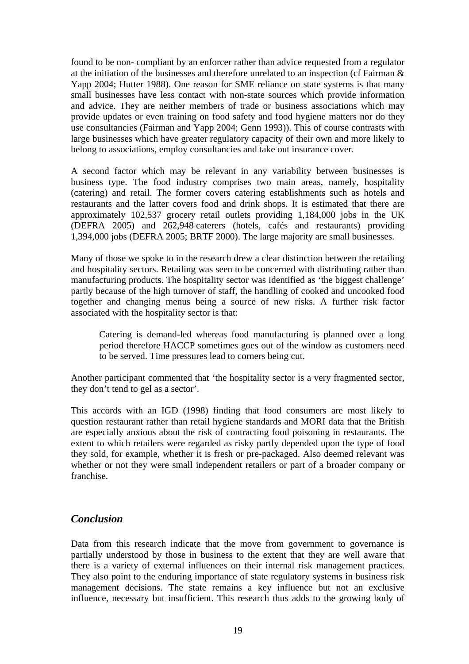<span id="page-21-0"></span>found to be non- compliant by an enforcer rather than advice requested from a regulator at the initiation of the businesses and therefore unrelated to an inspection (cf Fairman & Yapp 2004; Hutter 1988). One reason for SME reliance on state systems is that many small businesses have less contact with non-state sources which provide information and advice. They are neither members of trade or business associations which may provide updates or even training on food safety and food hygiene matters nor do they use consultancies (Fairman and Yapp 2004; Genn 1993)). This of course contrasts with large businesses which have greater regulatory capacity of their own and more likely to belong to associations, employ consultancies and take out insurance cover.

A second factor which may be relevant in any variability between businesses is business type. The food industry comprises two main areas, namely, hospitality (catering) and retail. The former covers catering establishments such as hotels and restaurants and the latter covers food and drink shops. It is estimated that there are approximately 102,537 grocery retail outlets providing 1,184,000 jobs in the UK (DEFRA 2005) and 262,948 caterers (hotels, cafés and restaurants) providing 1,394,000 jobs (DEFRA 2005; BRTF 2000). The large majority are small businesses.

Many of those we spoke to in the research drew a clear distinction between the retailing and hospitality sectors. Retailing was seen to be concerned with distributing rather than manufacturing products. The hospitality sector was identified as 'the biggest challenge' partly because of the high turnover of staff, the handling of cooked and uncooked food together and changing menus being a source of new risks. A further risk factor associated with the hospitality sector is that:

Catering is demand-led whereas food manufacturing is planned over a long period therefore HACCP sometimes goes out of the window as customers need to be served. Time pressures lead to corners being cut.

Another participant commented that 'the hospitality sector is a very fragmented sector, they don't tend to gel as a sector'.

This accords with an IGD (1998) finding that food consumers are most likely to question restaurant rather than retail hygiene standards and MORI data that the British are especially anxious about the risk of contracting food poisoning in restaurants. The extent to which retailers were regarded as risky partly depended upon the type of food they sold, for example, whether it is fresh or pre-packaged. Also deemed relevant was whether or not they were small independent retailers or part of a broader company or franchise.

## *Conclusion*

Data from this research indicate that the move from government to governance is partially understood by those in business to the extent that they are well aware that there is a variety of external influences on their internal risk management practices. They also point to the enduring importance of state regulatory systems in business risk management decisions. The state remains a key influence but not an exclusive influence, necessary but insufficient. This research thus adds to the growing body of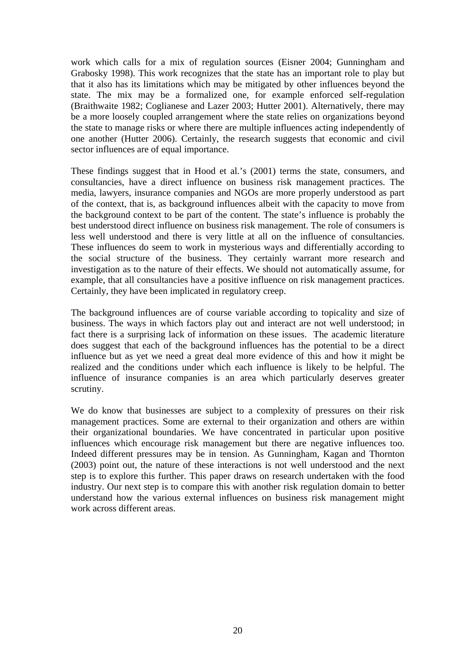work which calls for a mix of regulation sources (Eisner 2004; Gunningham and Grabosky 1998). This work recognizes that the state has an important role to play but that it also has its limitations which may be mitigated by other influences beyond the state. The mix may be a formalized one, for example enforced self-regulation (Braithwaite 1982; Coglianese and Lazer 2003; Hutter 2001). Alternatively, there may be a more loosely coupled arrangement where the state relies on organizations beyond the state to manage risks or where there are multiple influences acting independently of one another (Hutter 2006). Certainly, the research suggests that economic and civil sector influences are of equal importance.

These findings suggest that in Hood et al.'s (2001) terms the state, consumers, and consultancies, have a direct influence on business risk management practices. The media, lawyers, insurance companies and NGOs are more properly understood as part of the context, that is, as background influences albeit with the capacity to move from the background context to be part of the content. The state's influence is probably the best understood direct influence on business risk management. The role of consumers is less well understood and there is very little at all on the influence of consultancies. These influences do seem to work in mysterious ways and differentially according to the social structure of the business. They certainly warrant more research and investigation as to the nature of their effects. We should not automatically assume, for example, that all consultancies have a positive influence on risk management practices. Certainly, they have been implicated in regulatory creep.

The background influences are of course variable according to topicality and size of business. The ways in which factors play out and interact are not well understood; in fact there is a surprising lack of information on these issues. The academic literature does suggest that each of the background influences has the potential to be a direct influence but as yet we need a great deal more evidence of this and how it might be realized and the conditions under which each influence is likely to be helpful. The influence of insurance companies is an area which particularly deserves greater scrutiny.

We do know that businesses are subject to a complexity of pressures on their risk management practices. Some are external to their organization and others are within their organizational boundaries. We have concentrated in particular upon positive influences which encourage risk management but there are negative influences too. Indeed different pressures may be in tension. As Gunningham, Kagan and Thornton (2003) point out, the nature of these interactions is not well understood and the next step is to explore this further. This paper draws on research undertaken with the food industry. Our next step is to compare this with another risk regulation domain to better understand how the various external influences on business risk management might work across different areas.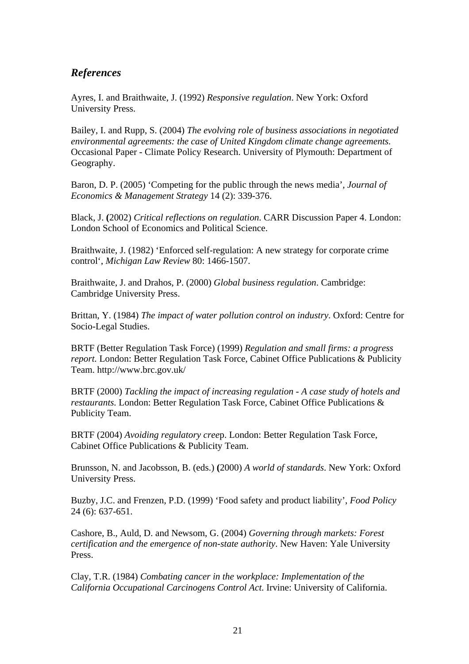## <span id="page-23-0"></span>*References*

Ayres, I. and Braithwaite, J. (1992) *Responsive regulation*. New York: Oxford University Press.

Bailey, I. and Rupp, S. (2004) *The evolving role of business associations in negotiated environmental agreements: the case of United Kingdom climate change agreements.* Occasional Paper - Climate Policy Research. University of Plymouth: Department of Geography.

Baron, D. P. (2005) 'Competing for the public through the news media', *Journal of Economics & Management Strategy* 14 (2): 339-376.

Black, J. **(**2002) *Critical reflections on regulation*. CARR Discussion Paper 4. London: London School of Economics and Political Science.

Braithwaite, J. (1982) 'Enforced self-regulation: A new strategy for corporate crime control', *Michigan Law Review* 80: 1466-1507.

Braithwaite, J. and Drahos, P. (2000) *Global business regulation*. Cambridge: Cambridge University Press.

Brittan, Y. (1984) *The impact of water pollution control on industry*. Oxford: Centre for Socio-Legal Studies.

BRTF (Better Regulation Task Force) (1999) *Regulation and small firms: a progress report.* London: Better Regulation Task Force, Cabinet Office Publications & Publicity Team. http://www.brc.gov.uk/

BRTF (2000) *Tackling the impact of increasing regulation - A case study of hotels and restaurants.* London: Better Regulation Task Force, Cabinet Office Publications & Publicity Team.

BRTF (2004) *Avoiding regulatory cree*p. London: Better Regulation Task Force, Cabinet Office Publications & Publicity Team.

Brunsson, N. and Jacobsson, B. (eds.) **(**2000) *A world of standards*. New York: Oxford University Press.

Buzby, J.C. and Frenzen, P.D. (1999) 'Food safety and product liability', *Food Policy* 24 (6): 637-651.

Cashore, B., Auld, D. and Newsom, G. (2004) *Governing through markets: Forest certification and the emergence of non-state authority*. New Haven: Yale University Press.

Clay, T.R. (1984) *Combating cancer in the workplace: Implementation of the California Occupational Carcinogens Control Act.* Irvine: University of California.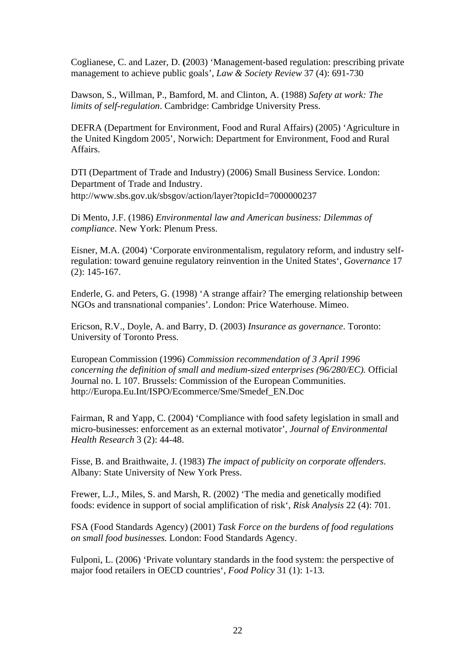Coglianese, C. and Lazer, D. **(**2003) 'Management-based regulation: prescribing private management to achieve public goals', *Law & Society Review* 37 (4): 691-730

Dawson, S., Willman, P., Bamford, M. and Clinton, A. (1988) *Safety at work: The limits of self-regulation*. Cambridge: Cambridge University Press.

DEFRA (Department for Environment, Food and Rural Affairs) (2005) 'Agriculture in the United Kingdom 2005', Norwich: Department for Environment, Food and Rural Affairs.

DTI (Department of Trade and Industry) (2006) Small Business Service. London: Department of Trade and Industry. http://www.sbs.gov.uk/sbsgov/action/layer?topicId=7000000237

Di Mento, J.F. (1986) *Environmental law and American business: Dilemmas of compliance*. New York: Plenum Press.

Eisner, M.A. (2004) 'Corporate environmentalism, regulatory reform, and industry selfregulation: toward genuine regulatory reinvention in the United States', *Governance* 17 (2): 145-167.

Enderle, G. and Peters, G. (1998) 'A strange affair? The emerging relationship between NGOs and transnational companies'. London: Price Waterhouse. Mimeo.

Ericson, R.V., Doyle, A. and Barry, D. (2003) *Insurance as governance*. Toronto: University of Toronto Press.

European Commission (1996) *Commission recommendation of 3 April 1996 concerning the definition of small and medium-sized enterprises (96/280/EC).* Official Journal no. L 107. Brussels: Commission of the European Communities. http://Europa.Eu.Int/ISPO/Ecommerce/Sme/Smedef\_EN.Doc

Fairman, R and Yapp, C. (2004) 'Compliance with food safety legislation in small and micro-businesses: enforcement as an external motivator', *Journal of Environmental Health Research* 3 (2): 44-48.

Fisse, B. and Braithwaite, J. (1983) *The impact of publicity on corporate offenders*. Albany: State University of New York Press.

Frewer, L.J., Miles, S. and Marsh, R. (2002) 'The media and genetically modified foods: evidence in support of social amplification of risk', *Risk Analysis* 22 (4): 701.

FSA (Food Standards Agency) (2001) *Task Force on the burdens of food regulations on small food businesses.* London: Food Standards Agency.

Fulponi, L. (2006) 'Private voluntary standards in the food system: the perspective of major food retailers in OECD countries', *Food Policy* 31 (1): 1-13.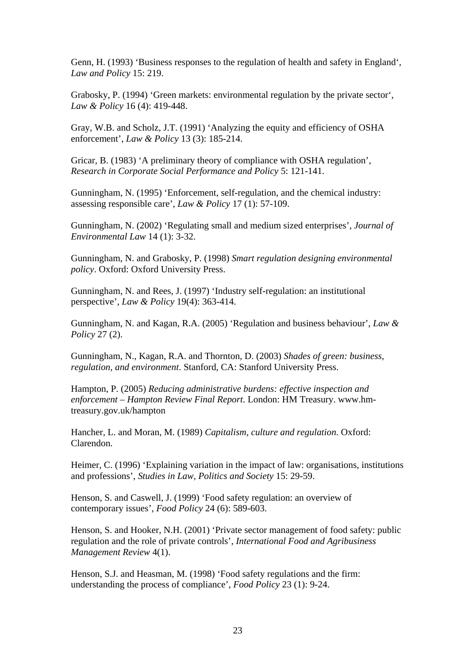Genn, H. (1993) 'Business responses to the regulation of health and safety in England', *Law and Policy* 15: 219.

Grabosky, P. (1994) 'Green markets: environmental regulation by the private sector', *Law & Policy* 16 (4): 419-448.

Gray, W.B. and Scholz, J.T. (1991) 'Analyzing the equity and efficiency of OSHA enforcement', *Law & Policy* 13 (3): 185-214.

Gricar, B. (1983) 'A preliminary theory of compliance with OSHA regulation', *Research in Corporate Social Performance and Policy* 5: 121-141.

Gunningham, N. (1995) 'Enforcement, self-regulation, and the chemical industry: assessing responsible care', *Law & Policy* 17 (1): 57-109.

Gunningham, N. (2002) 'Regulating small and medium sized enterprises', *Journal of Environmental Law* 14 (1): 3-32.

Gunningham, N. and Grabosky, P. (1998) *Smart regulation designing environmental policy*. Oxford: Oxford University Press.

Gunningham, N. and Rees, J. (1997) 'Industry self-regulation: an institutional perspective', *Law & Policy* 19(4): 363-414.

Gunningham, N. and Kagan, R.A. (2005) 'Regulation and business behaviour', *Law & Policy* 27 (2).

Gunningham, N., Kagan, R.A. and Thornton, D. (2003) *Shades of green: business, regulation, and environment*. Stanford, CA: Stanford University Press.

Hampton, P. (2005) *Reducing administrative burdens: effective inspection and enforcement – Hampton Review Final Report*. London: HM Treasury. www.hmtreasury.gov.uk/hampton

Hancher, L. and Moran, M. (1989) *Capitalism, culture and regulation*. Oxford: Clarendon.

Heimer, C. (1996) 'Explaining variation in the impact of law: organisations, institutions and professions', *Studies in Law, Politics and Society* 15: 29-59.

Henson, S. and Caswell, J. (1999) 'Food safety regulation: an overview of contemporary issues', *Food Policy* 24 (6): 589-603.

Henson, S. and Hooker, N.H. (2001) 'Private sector management of food safety: public regulation and the role of private controls', *International Food and Agribusiness Management Review* 4(1).

Henson, S.J. and Heasman, M. (1998) 'Food safety regulations and the firm: understanding the process of compliance', *Food Policy* 23 (1): 9-24.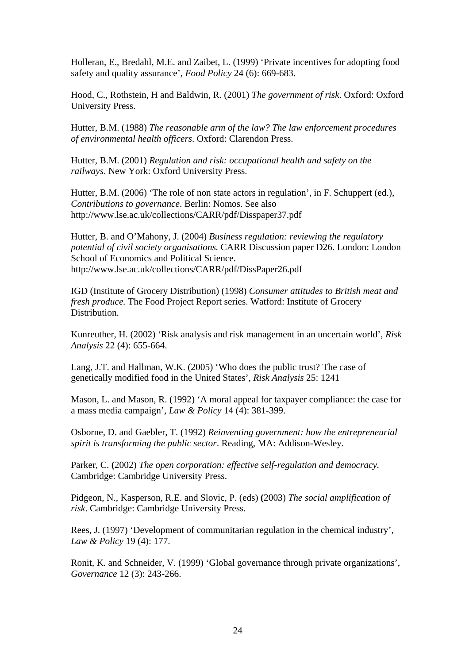Holleran, E., Bredahl, M.E. and Zaibet, L. (1999) 'Private incentives for adopting food safety and quality assurance', *Food Policy* 24 (6): 669-683.

Hood, C., Rothstein, H and Baldwin, R. (2001) *The government of risk*. Oxford: Oxford University Press.

Hutter, B.M. (1988) *The reasonable arm of the law? The law enforcement procedures of environmental health officers*. Oxford: Clarendon Press.

Hutter, B.M. (2001) *Regulation and risk: occupational health and safety on the railways*. New York: Oxford University Press.

Hutter, B.M. (2006) 'The role of non state actors in regulation', in F. Schuppert (ed.), *Contributions to governance*. Berlin: Nomos. See also http://www.lse.ac.uk/collections/CARR/pdf/Disspaper37.pdf

Hutter, B. and O'Mahony, J. (2004) *Business regulation: reviewing the regulatory potential of civil society organisations.* CARR Discussion paper D26. London: London School of Economics and Political Science. http://www.lse.ac.uk/collections/CARR/pdf/DissPaper26.pdf

IGD (Institute of Grocery Distribution) (1998) *Consumer attitudes to British meat and fresh produce.* The Food Project Report series. Watford: Institute of Grocery Distribution.

Kunreuther, H. (2002) 'Risk analysis and risk management in an uncertain world', *Risk Analysis* 22 (4): 655-664.

Lang, J.T. and Hallman, W.K. (2005) 'Who does the public trust? The case of genetically modified food in the United States', *Risk Analysis* 25: 1241

Mason, L. and Mason, R. (1992) 'A moral appeal for taxpayer compliance: the case for a mass media campaign', *Law & Policy* 14 (4): 381-399.

Osborne, D. and Gaebler, T. (1992) *Reinventing government: how the entrepreneurial spirit is transforming the public sector*. Reading, MA: Addison-Wesley.

Parker, C. **(**2002) *The open corporation: effective self-regulation and democracy.* Cambridge: Cambridge University Press.

Pidgeon, N., Kasperson, R.E. and Slovic, P. (eds) **(**2003) *The social amplification of risk*. Cambridge: Cambridge University Press.

Rees, J. (1997) 'Development of communitarian regulation in the chemical industry', *Law & Policy* 19 (4): 177.

Ronit, K. and Schneider, V. (1999) 'Global governance through private organizations', *Governance* 12 (3): 243-266.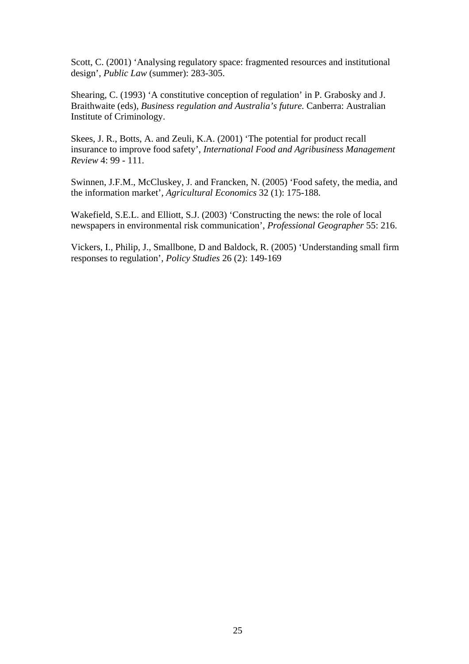Scott, C. (2001) 'Analysing regulatory space: fragmented resources and institutional design', *Public Law* (summer): 283-305.

Shearing, C. (1993) 'A constitutive conception of regulation' in P. Grabosky and J. Braithwaite (eds), *Business regulation and Australia's future.* Canberra: Australian Institute of Criminology.

Skees, J. R., Botts, A. and Zeuli, K.A. (2001) 'The potential for product recall insurance to improve food safety', *International Food and Agribusiness Management Review* 4: 99 - 111.

Swinnen, J.F.M., McCluskey, J. and Francken, N. (2005) 'Food safety, the media, and the information market', *Agricultural Economics* 32 (1): 175-188.

Wakefield, S.E.L. and Elliott, S.J. (2003) 'Constructing the news: the role of local newspapers in environmental risk communication', *Professional Geographer* 55: 216.

Vickers, I., Philip, J., Smallbone, D and Baldock, R. (2005) 'Understanding small firm responses to regulation', *Policy Studies* 26 (2): 149-169